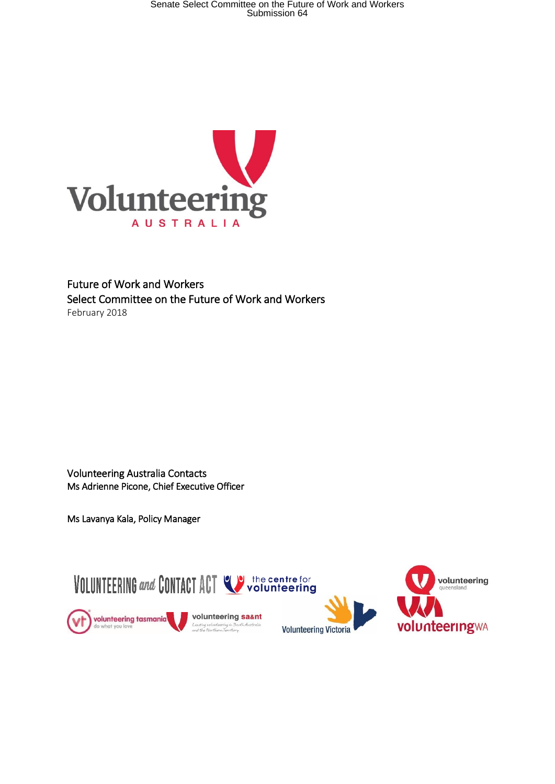Senate Select Committee on the Future of Work and Workers<br>Submission 64



### Future of Work and Workers Select Committee on the Future of Work and Workers February 2018

Volunteering Australia Contacts Ms Adrienne Picone, Chief Executive Officer

Ms Lavanya Kala, Policy Manager

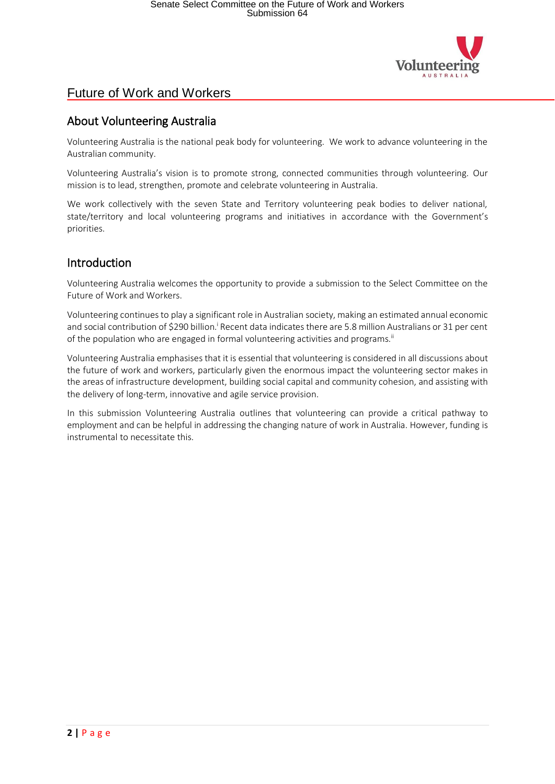

### About Volunteering Australia

Volunteering Australia is the national peak body for volunteering. We work to advance volunteering in the Australian community.

Volunteering Australia's vision is to promote strong, connected communities through volunteering. Our mission is to lead, strengthen, promote and celebrate volunteering in Australia.

We work collectively with the seven State and Territory volunteering peak bodies to deliver national, state/territory and local volunteering programs and initiatives in accordance with the Government's priorities.

### Introduction

Volunteering Australia welcomes the opportunity to provide a submission to the Select Committee on the Future of Work and Workers.

Volunteering continuesto play a significant role in Australian society, making an estimated annual economic and social contribution of \$290 billion.<sup>i</sup> Recent data indicates there are 5.8 million Australians or 31 per cent of the population who are engaged in formal volunteering activities and programs.<sup>ii</sup>

Volunteering Australia emphasises that it is essential that volunteering is considered in all discussions about the future of work and workers, particularly given the enormous impact the volunteering sector makes in the areas of infrastructure development, building social capital and community cohesion, and assisting with the delivery of long-term, innovative and agile service provision.

In this submission Volunteering Australia outlines that volunteering can provide a critical pathway to employment and can be helpful in addressing the changing nature of work in Australia. However, funding is instrumental to necessitate this.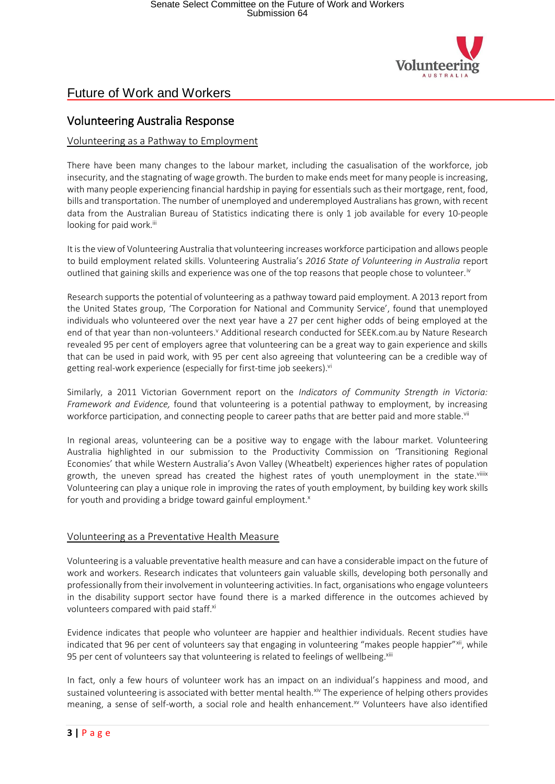

### Volunteering Australia Response

#### Volunteering as a Pathway to Employment

There have been many changes to the labour market, including the casualisation of the workforce, job insecurity, and the stagnating of wage growth. The burden to make ends meet for many people is increasing, with many people experiencing financial hardship in paying for essentials such as their mortgage, rent, food, bills and transportation. The number of unemployed and underemployed Australians has grown, with recent data from the Australian Bureau of Statistics indicating there is only 1 job available for every 10-people looking for paid work.<sup>iii</sup>

It is the view of Volunteering Australia that volunteering increases workforce participation and allows people to build employment related skills. Volunteering Australia's *2016 State of Volunteering in Australia* report outlined that gaining skills and experience was one of the top reasons that people chose to volunteer.<sup>iv</sup>

Research supports the potential of volunteering as a pathway toward paid employment. A 2013 report from the United States group, 'The Corporation for National and Community Service', found that unemployed individuals who volunteered over the next year have a 27 per cent higher odds of being employed at the end of that year than non-volunteers.<sup>v</sup> Additional research conducted for SEEK.com.au by Nature Research revealed 95 per cent of employers agree that volunteering can be a great way to gain experience and skills that can be used in paid work, with 95 per cent also agreeing that volunteering can be a credible way of getting real-work experience (especially for first-time job seekers). Vi

Similarly, a 2011 Victorian Government report on the *Indicators of Community Strength in Victoria: Framework and Evidence,* found that volunteering is a potential pathway to employment, by increasing workforce participation, and connecting people to career paths that are better paid and more stable.<sup>vii</sup>

In regional areas, volunteering can be a positive way to engage with the labour market. Volunteering Australia highlighted in our submission to the Productivity Commission on 'Transitioning Regional Economies' that while Western Australia's Avon Valley (Wheatbelt) experiences higher rates of population growth, the uneven spread has created the highest rates of youth unemployment in the state.<sup>viilix</sup> Volunteering can play a unique role in improving the rates of youth employment, by building key work skills for youth and providing a bridge toward gainful employment. $x$ 

#### Volunteering as a Preventative Health Measure

Volunteering is a valuable preventative health measure and can have a considerable impact on the future of work and workers. Research indicates that volunteers gain valuable skills, developing both personally and professionally from theirinvolvement in volunteering activities. In fact, organisations who engage volunteers in the disability support sector have found there is a marked difference in the outcomes achieved by volunteers compared with paid staff.<sup>xi</sup>

Evidence indicates that people who volunteer are happier and healthier individuals. Recent studies have indicated that 96 per cent of volunteers say that engaging in volunteering "makes people happier"<sup>xii</sup>, while 95 per cent of volunteers say that volunteering is related to feelings of wellbeing.<sup>xiii</sup>

In fact, only a few hours of volunteer work has an impact on an individual's happiness and mood, and sustained volunteering is associated with better mental health.<sup>xiv</sup> The experience of helping others provides meaning, a sense of self-worth, a social role and health enhancement.<sup>xv</sup> Volunteers have also identified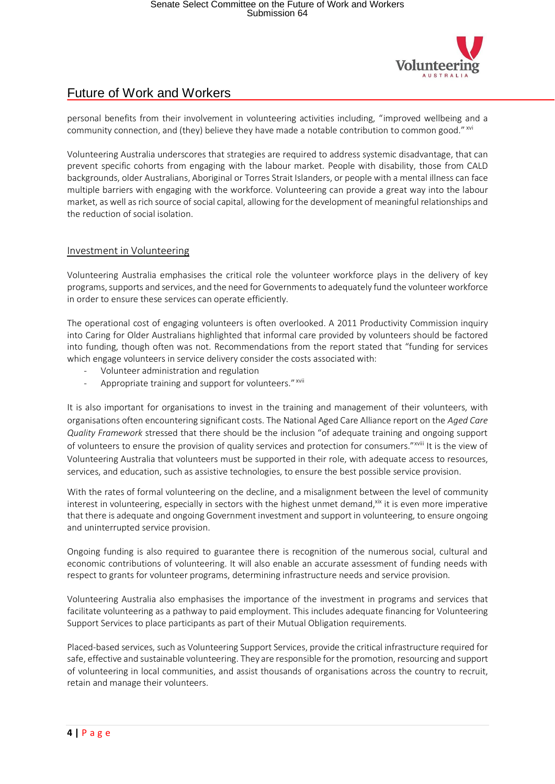

personal benefits from their involvement in volunteering activities including, "improved wellbeing and a community connection, and (they) believe they have made a notable contribution to common good." XVI

Volunteering Australia underscores that strategies are required to address systemic disadvantage, that can prevent specific cohorts from engaging with the labour market. People with disability, those from CALD backgrounds, older Australians, Aboriginal or Torres Strait Islanders, or people with a mental illness can face multiple barriers with engaging with the workforce. Volunteering can provide a great way into the labour market, as well asrich source of social capital, allowing forthe development of meaningful relationships and the reduction of social isolation.

#### Investment in Volunteering

Volunteering Australia emphasises the critical role the volunteer workforce plays in the delivery of key programs,supports and services, and the need forGovernmentsto adequately fund the volunteerworkforce in order to ensure these services can operate efficiently.

The operational cost of engaging volunteers is often overlooked. A 2011 Productivity Commission inquiry into Caring for Older Australians highlighted that informal care provided by volunteers should be factored into funding, though often was not. Recommendations from the report stated that "funding for services which engage volunteers in service delivery consider the costs associated with:

- Volunteer administration and regulation
- Appropriate training and support for volunteers."<sup>xvii</sup>

It is also important for organisations to invest in the training and management of their volunteers, with organisations often encountering significant costs. The National Aged Care Alliance report on the *Aged Care Quality Framework* stressed that there should be the inclusion "of adequate training and ongoing support of volunteers to ensure the provision of quality services and protection for consumers." xviii It is the view of Volunteering Australia that volunteers must be supported in their role, with adequate access to resources, services, and education, such as assistive technologies, to ensure the best possible service provision.

With the rates of formal volunteering on the decline, and a misalignment between the level of community interest in volunteering, especially in sectors with the highest unmet demand,<sup>xix</sup> it is even more imperative that there is adequate and ongoing Government investment and support in volunteering, to ensure ongoing and uninterrupted service provision.

Ongoing funding is also required to guarantee there is recognition of the numerous social, cultural and economic contributions of volunteering. It will also enable an accurate assessment of funding needs with respect to grants for volunteer programs, determining infrastructure needs and service provision.

Volunteering Australia also emphasises the importance of the investment in programs and services that facilitate volunteering as a pathway to paid employment. This includes adequate financing for Volunteering Support Services to place participants as part of their Mutual Obligation requirements.

Placed-based services, such as Volunteering Support Services, provide the critical infrastructure required for safe, effective and sustainable volunteering. They are responsible for the promotion, resourcing and support of volunteering in local communities, and assist thousands of organisations across the country to recruit, retain and manage their volunteers.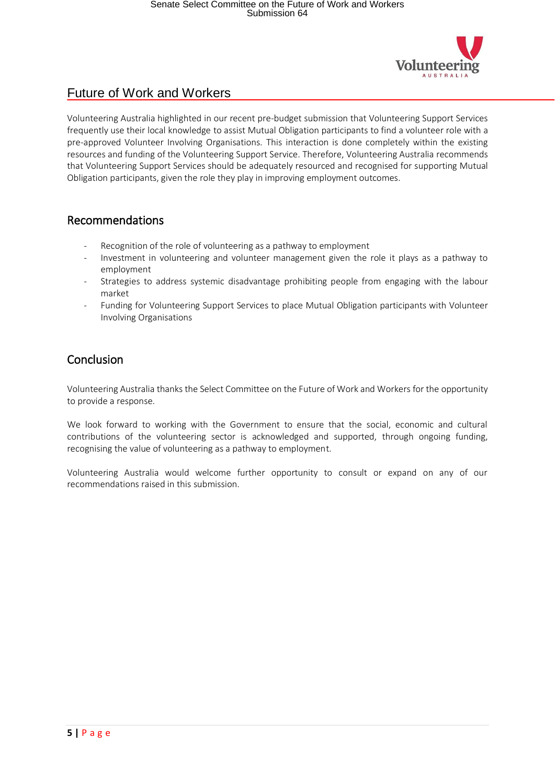

Volunteering Australia highlighted in our recent pre-budget submission that Volunteering Support Services frequently use their local knowledge to assist Mutual Obligation participants to find a volunteer role with a pre-approved Volunteer Involving Organisations. This interaction is done completely within the existing resources and funding of the Volunteering Support Service. Therefore, Volunteering Australia recommends that Volunteering Support Services should be adequately resourced and recognised for supporting Mutual Obligation participants, given the role they play in improving employment outcomes.

### Recommendations

- Recognition of the role of volunteering as a pathway to employment
- Investment in volunteering and volunteer management given the role it plays as a pathway to employment
- Strategies to address systemic disadvantage prohibiting people from engaging with the labour market
- Funding for Volunteering Support Services to place Mutual Obligation participants with Volunteer Involving Organisations

## Conclusion

Volunteering Australia thanks the Select Committee on the Future of Work and Workers for the opportunity to provide a response.

We look forward to working with the Government to ensure that the social, economic and cultural contributions of the volunteering sector is acknowledged and supported, through ongoing funding, recognising the value of volunteering as a pathway to employment.

Volunteering Australia would welcome further opportunity to consult or expand on any of our recommendations raised in this submission.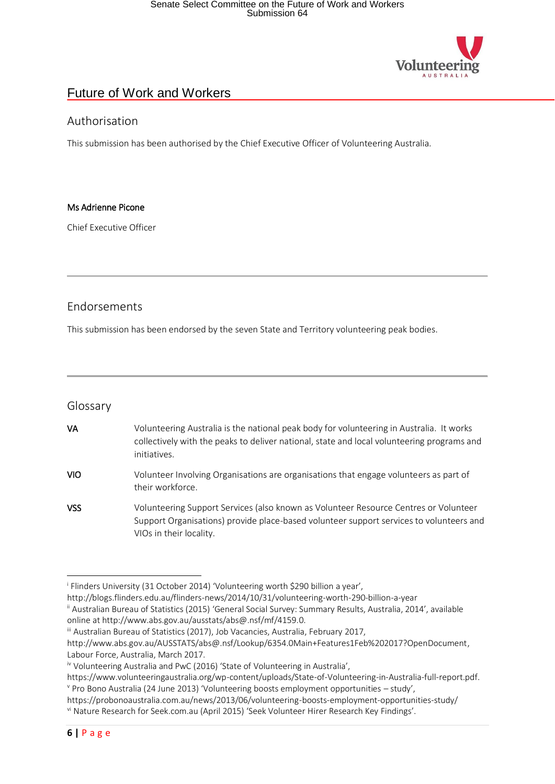

#### Authorisation

This submission has been authorised by the Chief Executive Officer of Volunteering Australia.

#### Ms Adrienne Picone

Chief Executive Officer

#### Endorsements

This submission has been endorsed by the seven State and Territory volunteering peak bodies.

#### Glossary

| VA         | Volunteering Australia is the national peak body for volunteering in Australia. It works<br>collectively with the peaks to deliver national, state and local volunteering programs and<br>initiatives. |
|------------|--------------------------------------------------------------------------------------------------------------------------------------------------------------------------------------------------------|
| <b>VIO</b> | Volunteer Involving Organisations are organisations that engage volunteers as part of<br>their workforce.                                                                                              |

VSS Volunteering Support Services (also known as Volunteer Resource Centres or Volunteer Support Organisations) provide place-based volunteer support services to volunteers and VIOs in their locality.

<sup>&</sup>lt;sup>i</sup> Flinders University (31 October 2014) 'Volunteering worth \$290 billion a year', **.** 

http://blogs.flinders.edu.au/flinders-news/2014/10/31/volunteering-worth-290-billion-a-year

ii Australian Bureau of Statistics (2015) 'General Social Survey: Summary Results, Australia, 2014', available online at http://www.abs.gov.au/ausstats/abs@.nsf/mf/4159.0.

iii Australian Bureau of Statistics (2017), Job Vacancies, Australia, February 2017,

http://www.abs.gov.au/AUSSTATS/abs@.nsf/Lookup/6354.0Main+Features1Feb%202017?OpenDocument, Labour Force, Australia, March 2017.

iv Volunteering Australia and PwC (2016) 'State of Volunteering in Australia',

https://www.volunteeringaustralia.org/wp-content/uploads/State-of-Volunteering-in-Australia-full-report.pdf. <sup>v</sup> Pro Bono Australia (24 June 2013) 'Volunteering boosts employment opportunities – study',

https://probonoaustralia.com.au/news/2013/06/volunteering-boosts-employment-opportunities-study/

vi Nature Research for Seek.com.au (April 2015) 'Seek Volunteer Hirer Research Key Findings'.